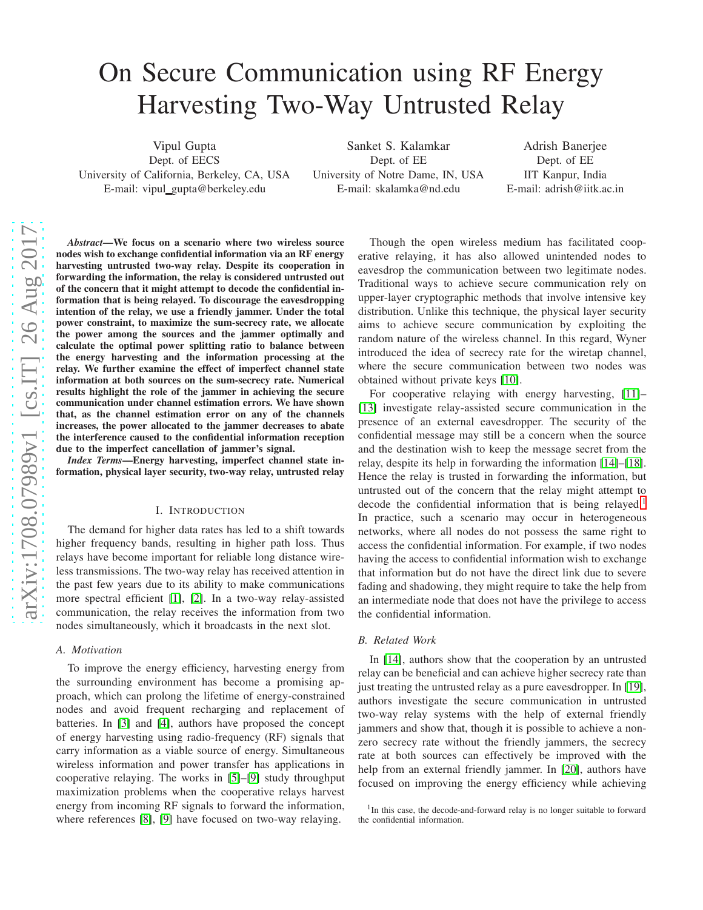# On Secure Communication using RF Energy Harvesting Two-Way Untrusted Relay

Vipul Gupta Dept. of EECS University of California, Berkeley, CA, USA E-mail: vipul gupta@berkeley.edu

Sanket S. Kalamkar Dept. of EE University of Notre Dame, IN, USA E-mail: skalamka@nd.edu

Adrish Banerjee Dept. of EE IIT Kanpur, India E-mail: adrish@iitk.ac.in

*Abstract*—We focus on a scenario where two wireless source nodes wish to exchange confidential information via an RF energy harvesting untrusted two-way relay. Despite its cooperation in forwarding the information, the relay is considered untrusted out of the concern that it might attempt to decode the confidential information that is being relayed. To discourage the eavesdropping intention of the relay, we use a friendly jammer. Under the total power constraint, to maximize the sum-secrecy rate, we allocate the power among the sources and the jammer optimally and calculate the optimal power splitting ratio to balance between the energy harvesting and the information processing at the relay. We further examine the effect of imperfect channel state information at both sources on the sum-secrecy rate. Numerical results highlight the role of the jammer in achieving the secure communication under channel estimation errors. We have shown that, as the channel estimation error on any of the channels increases, the power allocated to the jammer decreases to abate the interference caused to the confidential information reception due to the imperfect cancellation of jammer's signal.

*Index Terms*—Energy harvesting, imperfect channel state information, physical layer security, two-way relay, untrusted relay

#### I. INTRODUCTION

The demand for higher data rates has led to a shift towards higher frequency bands, resulting in higher path loss. Thus relays have become important for reliable long distance wireless transmissions. The two-way relay has received attention in the past few years due to its ability to make communications more spectral efficient [\[1\]](#page-6-0), [\[2\]](#page-6-1). In a two-way relay-assisted communication, the relay receives the information from two nodes simultaneously, which it broadcasts in the next slot.

#### *A. Motivation*

To improve the energy efficiency, harvesting energy from the surrounding environment has become a promising approach, which can prolong the lifetime of energy-constrained nodes and avoid frequent recharging and replacement of batteries. In [\[3\]](#page-6-2) and [\[4\]](#page-6-3), authors have proposed the concept of energy harvesting using radio-frequency (RF) signals that carry information as a viable source of energy. Simultaneous wireless information and power transfer has applications in cooperative relaying. The works in [\[5\]](#page-6-4)–[\[9\]](#page-6-5) study throughput maximization problems when the cooperative relays harvest energy from incoming RF signals to forward the information, where references [\[8\]](#page-6-6), [\[9\]](#page-6-5) have focused on two-way relaying.

Though the open wireless medium has facilitated cooperative relaying, it has also allowed unintended nodes to eavesdrop the communication between two legitimate nodes. Traditional ways to achieve secure communication rely on upper-layer cryptographic methods that involve intensive key distribution. Unlike this technique, the physical layer security aims to achieve secure communication by exploiting the random nature of the wireless channel. In this regard, Wyner introduced the idea of secrecy rate for the wiretap channel, where the secure communication between two nodes was obtained without private keys [\[10\]](#page-6-7).

For cooperative relaying with energy harvesting, [\[11\]](#page-6-8)– [\[13\]](#page-6-9) investigate relay-assisted secure communication in the presence of an external eavesdropper. The security of the confidential message may still be a concern when the source and the destination wish to keep the message secret from the relay, despite its help in forwarding the information [\[14\]](#page-6-10)–[\[18\]](#page-6-11). Hence the relay is trusted in forwarding the information, but untrusted out of the concern that the relay might attempt to decode the confidential information that is being relayed.<sup>[1](#page-0-0)</sup> In practice, such a scenario may occur in heterogeneous networks, where all nodes do not possess the same right to access the confidential information. For example, if two nodes having the access to confidential information wish to exchange that information but do not have the direct link due to severe fading and shadowing, they might require to take the help from an intermediate node that does not have the privilege to access the confidential information.

#### *B. Related Work*

In [\[14\]](#page-6-10), authors show that the cooperation by an untrusted relay can be beneficial and can achieve higher secrecy rate than just treating the untrusted relay as a pure eavesdropper. In [\[19\]](#page-6-12), authors investigate the secure communication in untrusted two-way relay systems with the help of external friendly jammers and show that, though it is possible to achieve a nonzero secrecy rate without the friendly jammers, the secrecy rate at both sources can effectively be improved with the help from an external friendly jammer. In [\[20\]](#page-6-13), authors have focused on improving the energy efficiency while achieving

<span id="page-0-0"></span><sup>&</sup>lt;sup>1</sup>In this case, the decode-and-forward relay is no longer suitable to forward the confidential information.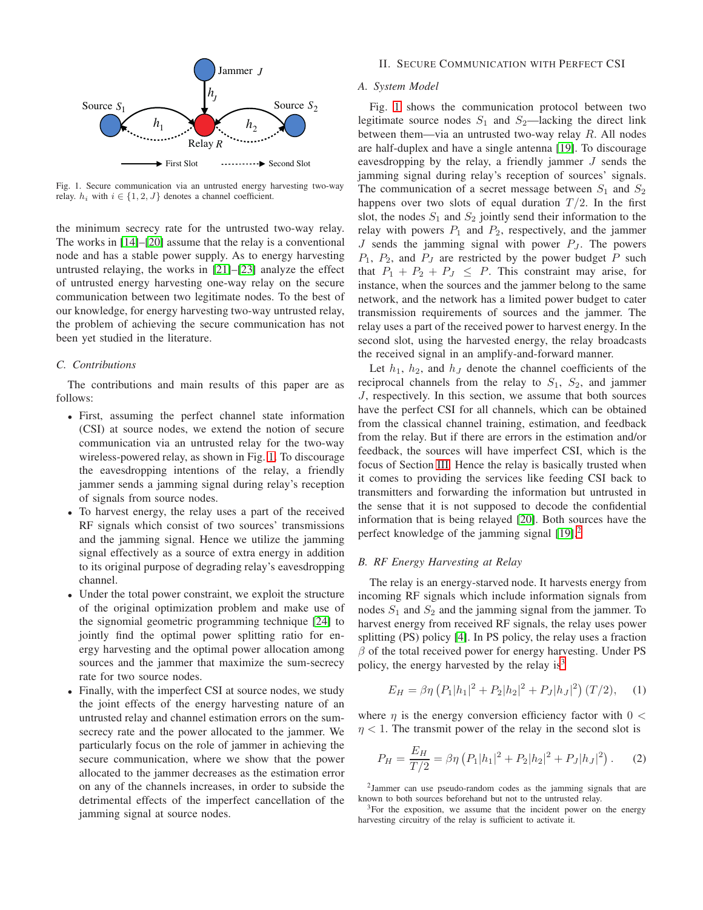

<span id="page-1-0"></span>Fig. 1. Secure communication via an untrusted energy harvesting two-way relay.  $h_i$  with  $i \in \{1, 2, J\}$  denotes a channel coefficient.

the minimum secrecy rate for the untrusted two-way relay. The works in [\[14\]](#page-6-10)–[\[20\]](#page-6-13) assume that the relay is a conventional node and has a stable power supply. As to energy harvesting untrusted relaying, the works in [\[21\]](#page-6-14)–[\[23\]](#page-6-15) analyze the effect of untrusted energy harvesting one-way relay on the secure communication between two legitimate nodes. To the best of our knowledge, for energy harvesting two-way untrusted relay, the problem of achieving the secure communication has not been yet studied in the literature.

### *C. Contributions*

The contributions and main results of this paper are as follows:

- First, assuming the perfect channel state information (CSI) at source nodes, we extend the notion of secure communication via an untrusted relay for the two-way wireless-powered relay, as shown in Fig. [1.](#page-1-0) To discourage the eavesdropping intentions of the relay, a friendly jammer sends a jamming signal during relay's reception of signals from source nodes.
- To harvest energy, the relay uses a part of the received RF signals which consist of two sources' transmissions and the jamming signal. Hence we utilize the jamming signal effectively as a source of extra energy in addition to its original purpose of degrading relay's eavesdropping channel.
- Under the total power constraint, we exploit the structure of the original optimization problem and make use of the signomial geometric programming technique [\[24\]](#page-6-16) to jointly find the optimal power splitting ratio for energy harvesting and the optimal power allocation among sources and the jammer that maximize the sum-secrecy rate for two source nodes.
- Finally, with the imperfect CSI at source nodes, we study the joint effects of the energy harvesting nature of an untrusted relay and channel estimation errors on the sumsecrecy rate and the power allocated to the jammer. We particularly focus on the role of jammer in achieving the secure communication, where we show that the power allocated to the jammer decreases as the estimation error on any of the channels increases, in order to subside the detrimental effects of the imperfect cancellation of the jamming signal at source nodes.

### II. SECURE COMMUNICATION WITH PERFECT CSI

# *A. System Model*

Fig. [1](#page-1-0) shows the communication protocol between two legitimate source nodes  $S_1$  and  $S_2$ —lacking the direct link between them—via an untrusted two-way relay  $R$ . All nodes are half-duplex and have a single antenna [\[19\]](#page-6-12). To discourage eavesdropping by the relay, a friendly jammer  $J$  sends the jamming signal during relay's reception of sources' signals. The communication of a secret message between  $S_1$  and  $S_2$ happens over two slots of equal duration  $T/2$ . In the first slot, the nodes  $S_1$  and  $S_2$  jointly send their information to the relay with powers  $P_1$  and  $P_2$ , respectively, and the jammer J sends the jamming signal with power  $P_J$ . The powers  $P_1$ ,  $P_2$ , and  $P_J$  are restricted by the power budget P such that  $P_1 + P_2 + P_J \leq P$ . This constraint may arise, for instance, when the sources and the jammer belong to the same network, and the network has a limited power budget to cater transmission requirements of sources and the jammer. The relay uses a part of the received power to harvest energy. In the second slot, using the harvested energy, the relay broadcasts the received signal in an amplify-and-forward manner.

Let  $h_1$ ,  $h_2$ , and  $h_J$  denote the channel coefficients of the reciprocal channels from the relay to  $S_1$ ,  $S_2$ , and jammer J, respectively. In this section, we assume that both sources have the perfect CSI for all channels, which can be obtained from the classical channel training, estimation, and feedback from the relay. But if there are errors in the estimation and/or feedback, the sources will have imperfect CSI, which is the focus of Section [III.](#page-4-0) Hence the relay is basically trusted when it comes to providing the services like feeding CSI back to transmitters and forwarding the information but untrusted in the sense that it is not supposed to decode the confidential information that is being relayed [\[20\]](#page-6-13). Both sources have the perfect knowledge of the jamming signal  $[19]$ .<sup>[2](#page-1-1)</sup>

## *B. RF Energy Harvesting at Relay*

The relay is an energy-starved node. It harvests energy from incoming RF signals which include information signals from nodes  $S_1$  and  $S_2$  and the jamming signal from the jammer. To harvest energy from received RF signals, the relay uses power splitting (PS) policy [\[4\]](#page-6-3). In PS policy, the relay uses a fraction  $\beta$  of the total received power for energy harvesting. Under PS policy, the energy harvested by the relay  $is<sup>3</sup>$  $is<sup>3</sup>$  $is<sup>3</sup>$ 

$$
E_H = \beta \eta \left( P_1 |h_1|^2 + P_2 |h_2|^2 + P_J |h_J|^2 \right) (T/2), \quad (1)
$$

where  $\eta$  is the energy conversion efficiency factor with  $0 <$  $\eta$  < 1. The transmit power of the relay in the second slot is

$$
P_H = \frac{E_H}{T/2} = \beta \eta \left( P_1 |h_1|^2 + P_2 |h_2|^2 + P_J |h_J|^2 \right). \tag{2}
$$

<span id="page-1-1"></span>2 Jammer can use pseudo-random codes as the jamming signals that are known to both sources beforehand but not to the untrusted relay.

<span id="page-1-2"></span><sup>3</sup>For the exposition, we assume that the incident power on the energy harvesting circuitry of the relay is sufficient to activate it.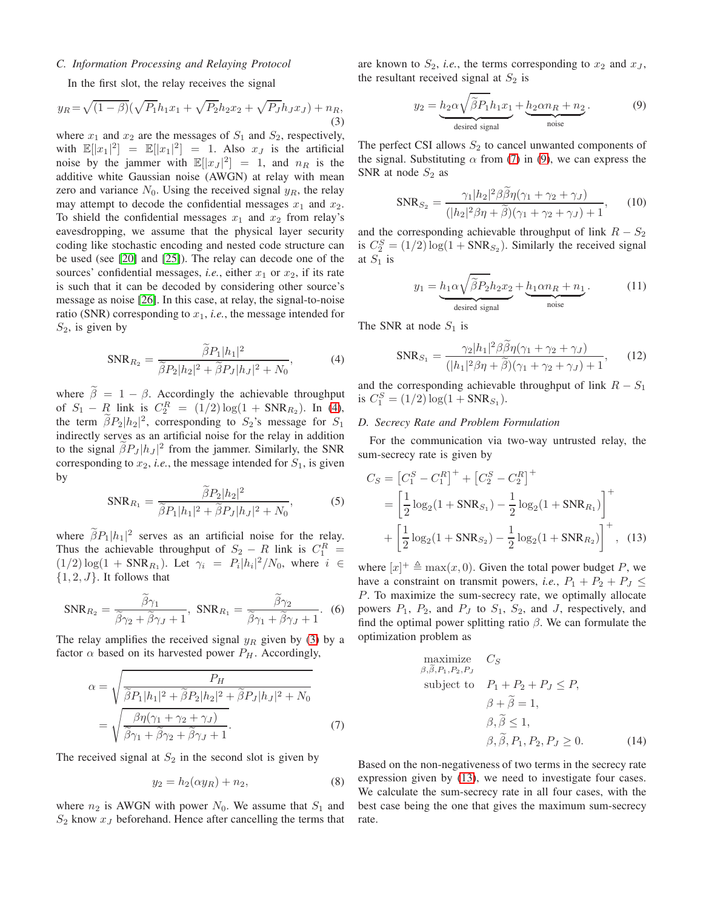# *C. Information Processing and Relaying Protocol*

In the first slot, the relay receives the signal

<span id="page-2-1"></span>
$$
y_R = \sqrt{(1-\beta)}(\sqrt{P_1h_1x_1} + \sqrt{P_2h_2x_2} + \sqrt{P_J}h_Jx_J) + n_R,
$$
\n(3)

where  $x_1$  and  $x_2$  are the messages of  $S_1$  and  $S_2$ , respectively, with  $\mathbb{E}[|x_1|^2] = \mathbb{E}[|x_1|^2] = 1$ . Also  $x_j$  is the artificial noise by the jammer with  $\mathbb{E}[|x_J|^2] = 1$ , and  $n_R$  is the additive white Gaussian noise (AWGN) at relay with mean zero and variance  $N_0$ . Using the received signal  $y_R$ , the relay may attempt to decode the confidential messages  $x_1$  and  $x_2$ . To shield the confidential messages  $x_1$  and  $x_2$  from relay's eavesdropping, we assume that the physical layer security coding like stochastic encoding and nested code structure can be used (see [\[20\]](#page-6-13) and [\[25\]](#page-6-17)). The relay can decode one of the sources' confidential messages, *i.e.*, either  $x_1$  or  $x_2$ , if its rate is such that it can be decoded by considering other source's message as noise [\[26\]](#page-6-18). In this case, at relay, the signal-to-noise ratio (SNR) corresponding to  $x_1$ , *i.e.*, the message intended for  $S_2$ , is given by

$$
SNR_{R_2} = \frac{\hat{\beta}P_1|h_1|^2}{\tilde{\beta}P_2|h_2|^2 + \tilde{\beta}P_J|h_J|^2 + N_0},\tag{4}
$$

where  $\tilde{\beta} = 1 - \beta$ . Accordingly the achievable throughput of  $S_1 - R$  link is  $C_2^R = (1/2) \log(1 + \text{SNR}_{R_2})$ . In [\(4\)](#page-2-0), the term  $\beta P_2|h_2|^2$ , corresponding to  $S_2$ 's message for  $S_1$ indirectly serves as an artificial noise for the relay in addition to the signal  $\beta P_J |h_J|^2$  from the jammer. Similarly, the SNR corresponding to  $x_2$ , *i.e.*, the message intended for  $S_1$ , is given by

$$
SNR_{R_1} = \frac{\hat{\beta}P_2|h_2|^2}{\tilde{\beta}P_1|h_1|^2 + \tilde{\beta}P_J|h_J|^2 + N_0},
$$
 (5)

where  $\beta P_1 |h_1|^2$  serves as an artificial noise for the relay. Thus the achievable throughput of  $S_2 - R$  link is  $C_1^R =$  $(1/2) \log(1 + SNR_{R_1})$ . Let  $\gamma_i = P_i |h_i|^2/N_0$ , where  $i \in$  ${1, 2, J}.$  It follows that

<span id="page-2-6"></span>
$$
SNR_{R_2} = \frac{\tilde{\beta}\gamma_1}{\tilde{\beta}\gamma_2 + \tilde{\beta}\gamma_J + 1}, \text{ SNR}_{R_1} = \frac{\tilde{\beta}\gamma_2}{\tilde{\beta}\gamma_1 + \tilde{\beta}\gamma_J + 1}.
$$
 (6)

The relay amplifies the received signal  $y_R$  given by [\(3\)](#page-2-1) by a factor  $\alpha$  based on its harvested power  $P_H$ . Accordingly,

$$
\alpha = \sqrt{\frac{P_H}{\tilde{\beta}P_1|h_1|^2 + \tilde{\beta}P_2|h_2|^2 + \tilde{\beta}P_J|h_J|^2 + N_0}}
$$
  
= 
$$
\sqrt{\frac{\beta\eta(\gamma_1 + \gamma_2 + \gamma_J)}{\tilde{\beta}\gamma_1 + \tilde{\beta}\gamma_2 + \tilde{\beta}\gamma_J + 1}}.
$$
 (7)

The received signal at  $S_2$  in the second slot is given by

$$
y_2 = h_2(\alpha y_R) + n_2,\tag{8}
$$

where  $n_2$  is AWGN with power  $N_0$ . We assume that  $S_1$  and  $S_2$  know  $x_j$  beforehand. Hence after cancelling the terms that are known to  $S_2$ , *i.e.*, the terms corresponding to  $x_2$  and  $x_3$ , the resultant received signal at  $S_2$  is

<span id="page-2-3"></span>
$$
y_2 = \underbrace{h_2 \alpha \sqrt{\tilde{\beta} P_1} h_1 x_1}_{\text{desired signal}} + \underbrace{h_2 \alpha n_R + n_2}_{\text{noise}}.
$$
 (9)

The perfect CSI allows  $S_2$  to cancel unwanted components of the signal. Substituting  $\alpha$  from [\(7\)](#page-2-2) in [\(9\)](#page-2-3), we can express the SNR at node  $S_2$  as

$$
SNR_{S_2} = \frac{\gamma_1 |h_2|^2 \beta \beta \eta (\gamma_1 + \gamma_2 + \gamma_J)}{(|h_2|^2 \beta \eta + \widetilde{\beta})(\gamma_1 + \gamma_2 + \gamma_J) + 1},
$$
 (10)

and the corresponding achievable throughput of link  $R - S_2$ is  $C_2^S = (1/2) \log(1 + \text{SNR}_{S_2})$ . Similarly the received signal at  $S_1$  is

$$
y_1 = \underbrace{h_1 \alpha \sqrt{\tilde{\beta} P_2} h_2 x_2}_{\text{desired signal}} + \underbrace{h_1 \alpha n_R + n_1}_{\text{noise}}.
$$
 (11)

<span id="page-2-0"></span>The SNR at node  $S_1$  is

$$
SNR_{S_1} = \frac{\gamma_2 |h_1|^2 \beta \dot{\beta} \eta (\gamma_1 + \gamma_2 + \gamma_J)}{(|h_1|^2 \beta \eta + \tilde{\beta})(\gamma_1 + \gamma_2 + \gamma_J) + 1},
$$
 (12)

and the corresponding achievable throughput of link  $R - S_1$ is  $C_1^S = (1/2) \log(1 + \text{SNR}_{S_1}).$ 

## <span id="page-2-7"></span>*D. Secrecy Rate and Problem Formulation*

For the communication via two-way untrusted relay, the sum-secrecy rate is given by

$$
C_S = [C_1^S - C_1^R]^+ + [C_2^S - C_2^R]^+
$$
  
=  $\left[\frac{1}{2}\log_2(1 + \text{SNR}_{S_1}) - \frac{1}{2}\log_2(1 + \text{SNR}_{R_1})\right]^+$   
+  $\left[\frac{1}{2}\log_2(1 + \text{SNR}_{S_2}) - \frac{1}{2}\log_2(1 + \text{SNR}_{R_2})\right]^+$ , (13)

where  $[x]^+ \triangleq \max(x, 0)$ . Given the total power budget P, we have a constraint on transmit powers, *i.e.*,  $P_1 + P_2 + P_J \leq$ P. To maximize the sum-secrecy rate, we optimally allocate powers  $P_1$ ,  $P_2$ , and  $P_J$  to  $S_1$ ,  $S_2$ , and J, respectively, and find the optimal power splitting ratio  $\beta$ . We can formulate the optimization problem as

<span id="page-2-5"></span><span id="page-2-4"></span>maximize 
$$
C_S
$$
  
\n $\beta, \tilde{\beta}, P_1, P_2, P_J$   
\nsubject to  $P_1 + P_2 + P_J \le P$ ,  
\n $\beta + \tilde{\beta} = 1$ ,  
\n $\beta, \tilde{\beta} \le 1$ ,  
\n $\beta, \tilde{\beta}, P_1, P_2, P_J \ge 0$ . (14)

<span id="page-2-2"></span>Based on the non-negativeness of two terms in the secrecy rate expression given by [\(13\)](#page-2-4), we need to investigate four cases. We calculate the sum-secrecy rate in all four cases, with the best case being the one that gives the maximum sum-secrecy rate.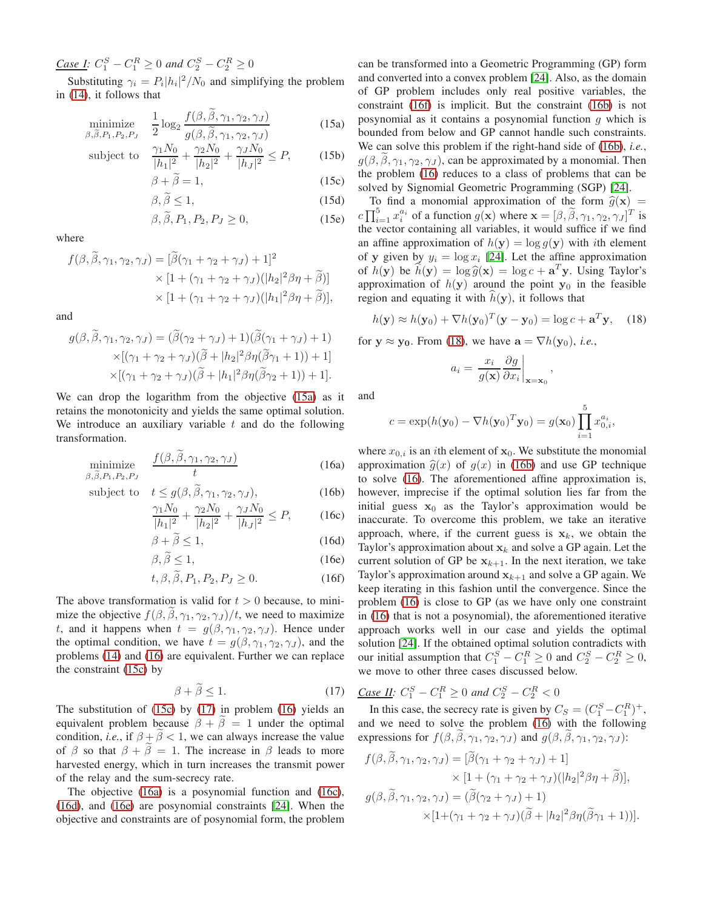$\frac{Case\ I: C_1^S - C_1^R \geq 0 \text{ and } C_2^S - C_2^R \geq 0}{}$ 

Substituting  $\gamma_i = P_i |h_i|^2 / N_0$  and simplifying the problem in [\(14\)](#page-2-5), it follows that

$$
\underset{\beta,\widetilde{\beta},P_1,P_2,P_J}{\text{minimize}} \quad \frac{1}{2} \log_2 \frac{f(\beta,\widetilde{\beta},\gamma_1,\gamma_2,\gamma_J)}{g(\beta,\widetilde{\beta},\gamma_1,\gamma_2,\gamma_J)} \tag{15a}
$$

subject to 
$$
\frac{\gamma_1 N_0}{|h_1|^2} + \frac{\gamma_2 N_0}{|h_2|^2} + \frac{\gamma_J N_0}{|h_J|^2} \le P,
$$
 (15b)

$$
\beta + \beta = 1,\tag{15c}
$$

$$
\beta, \beta \le 1,\tag{15d}
$$

$$
\beta, \beta, P_1, P_2, P_J \ge 0,\tag{15e}
$$

where

$$
f(\beta, \tilde{\beta}, \gamma_1, \gamma_2, \gamma_J) = [\tilde{\beta}(\gamma_1 + \gamma_2 + \gamma_J) + 1]^2
$$
  
 
$$
\times [1 + (\gamma_1 + \gamma_2 + \gamma_J)(|h_2|^2 \beta \eta + \tilde{\beta})]
$$
  
 
$$
\times [1 + (\gamma_1 + \gamma_2 + \gamma_J)(|h_1|^2 \beta \eta + \tilde{\beta})],
$$

and

$$
g(\beta, \tilde{\beta}, \gamma_1, \gamma_2, \gamma_J) = (\tilde{\beta}(\gamma_2 + \gamma_J) + 1)(\tilde{\beta}(\gamma_1 + \gamma_J) + 1)
$$
  
 
$$
\times [(\gamma_1 + \gamma_2 + \gamma_J)(\tilde{\beta} + |h_2|^2 \beta \eta(\tilde{\beta}\gamma_1 + 1)) + 1]
$$
  
 
$$
\times [(\gamma_1 + \gamma_2 + \gamma_J)(\tilde{\beta} + |h_1|^2 \beta \eta(\tilde{\beta}\gamma_2 + 1)) + 1].
$$

We can drop the logarithm from the objective [\(15a\)](#page-3-0) as it retains the monotonicity and yields the same optimal solution. We introduce an auxiliary variable  $t$  and do the following transformation.

$$
\underset{\beta,\widetilde{\beta},P_1,P_2,P_J}{\text{minimize}} \quad \frac{f(\beta,\widetilde{\beta},\gamma_1,\gamma_2,\gamma_J)}{t} \tag{16a}
$$

subject to 
$$
t \leq g(\beta, \tilde{\beta}, \gamma_1, \gamma_2, \gamma_J),
$$
 (16b)

$$
\frac{\gamma_1 N_0}{|h_1|^2} + \frac{\gamma_2 N_0}{|h_2|^2} + \frac{\gamma_J N_0}{|h_J|^2} \le P,\tag{16c}
$$

$$
\beta + \widetilde{\beta} \le 1,\tag{16d}
$$

$$
\beta, \tilde{\beta} \le 1,\tag{16e}
$$

$$
t, \beta, \tilde{\beta}, P_1, P_2, P_J \ge 0. \tag{16f}
$$

The above transformation is valid for  $t > 0$  because, to minimize the objective  $f(\beta, \beta, \gamma_1, \gamma_2, \gamma_J)/t$ , we need to maximize t, and it happens when  $t = g(\beta, \gamma_1, \gamma_2, \gamma_J)$ . Hence under the optimal condition, we have  $t = g(\beta, \gamma_1, \gamma_2, \gamma_J)$ , and the problems [\(14\)](#page-2-5) and [\(16\)](#page-3-1) are equivalent. Further we can replace the constraint [\(15c\)](#page-3-2) by

<span id="page-3-3"></span>
$$
\beta + \tilde{\beta} \le 1. \tag{17}
$$

The substitution of [\(15c\)](#page-3-2) by [\(17\)](#page-3-3) in problem [\(16\)](#page-3-1) yields an equivalent problem because  $\beta + \beta = 1$  under the optimal condition, *i.e.*, if  $\beta + \beta < 1$ , we can always increase the value of  $\beta$  so that  $\beta + \beta = 1$ . The increase in  $\beta$  leads to more harvested energy, which in turn increases the transmit power of the relay and the sum-secrecy rate.

The objective [\(16a\)](#page-3-4) is a posynomial function and [\(16c\)](#page-3-5), [\(16d\)](#page-3-6), and [\(16e\)](#page-3-7) are posynomial constraints [\[24\]](#page-6-16). When the objective and constraints are of posynomial form, the problem

<span id="page-3-0"></span>can be transformed into a Geometric Programming (GP) form and converted into a convex problem [\[24\]](#page-6-16). Also, as the domain of GP problem includes only real positive variables, the constraint [\(16f\)](#page-3-1) is implicit. But the constraint [\(16b\)](#page-3-8) is not posynomial as it contains a posynomial function  $g$  which is bounded from below and GP cannot handle such constraints. We can solve this problem if the right-hand side of [\(16b\)](#page-3-8), *i.e.*,  $q(\beta, \beta, \gamma_1, \gamma_2, \gamma_J)$ , can be approximated by a monomial. Then the problem [\(16\)](#page-3-1) reduces to a class of problems that can be solved by Signomial Geometric Programming (SGP) [\[24\]](#page-6-16).

<span id="page-3-2"></span>To find a monomial approximation of the form  $\hat{g}(\mathbf{x})$  =  $c \prod_{i=1}^5 x_i^{a_i}$  of a function  $g(\mathbf{x})$  where  $\mathbf{x} = [\beta, \tilde{\beta}, \gamma_1, \gamma_2, \gamma_J]^T$  is the vector containing all variables, it would suffice if we find an affine approximation of  $h(\mathbf{y}) = \log g(\mathbf{y})$  with *i*th element of y given by  $y_i = \log x_i$  [\[24\]](#page-6-16). Let the affine approximation of  $h(\mathbf{y})$  be  $\hat{h}(\mathbf{y}) = \log \hat{g}(\mathbf{x}) = \log c + \mathbf{a}^T \mathbf{y}$ . Using Taylor's approximation of  $h(y)$  around the point  $y_0$  in the feasible region and equating it with  $h(\mathbf{y})$ , it follows that

<span id="page-3-9"></span>
$$
h(\mathbf{y}) \approx h(\mathbf{y}_0) + \nabla h(\mathbf{y}_0)^T (\mathbf{y} - \mathbf{y}_0) = \log c + \mathbf{a}^T \mathbf{y}, \quad (18)
$$

,

for  $y \approx y_0$ . From [\(18\)](#page-3-9), we have  $a = \nabla h(y_0)$ , *i.e.*,

$$
a_i = \left. \frac{x_i}{g(\mathbf{x})} \frac{\partial g}{\partial x_i} \right|_{\mathbf{x} = \mathbf{x}_0}
$$

and

$$
c = \exp(h(\mathbf{y}_0) - \nabla h(\mathbf{y}_0)^T \mathbf{y}_0) = g(\mathbf{x}_0) \prod_{i=1}^5 x_{0,i}^{a_i},
$$

<span id="page-3-8"></span><span id="page-3-7"></span><span id="page-3-6"></span><span id="page-3-5"></span><span id="page-3-4"></span>where  $x_{0,i}$  is an *i*th element of  $x_0$ . We substitute the monomial approximation  $\hat{g}(x)$  of  $g(x)$  in [\(16b\)](#page-3-8) and use GP technique to solve [\(16\)](#page-3-1). The aforementioned affine approximation is, however, imprecise if the optimal solution lies far from the initial guess  $x_0$  as the Taylor's approximation would be inaccurate. To overcome this problem, we take an iterative approach, where, if the current guess is  $x_k$ , we obtain the Taylor's approximation about  $x_k$  and solve a GP again. Let the current solution of GP be  $x_{k+1}$ . In the next iteration, we take Taylor's approximation around  $x_{k+1}$  and solve a GP again. We keep iterating in this fashion until the convergence. Since the problem [\(16\)](#page-3-1) is close to GP (as we have only one constraint in [\(16\)](#page-3-1) that is not a posynomial), the aforementioned iterative approach works well in our case and yields the optimal solution [\[24\]](#page-6-16). If the obtained optimal solution contradicts with our initial assumption that  $C_1^S - C_1^R \ge 0$  and  $C_2^S - C_2^R \ge 0$ , we move to other three cases discussed below.

<span id="page-3-1"></span>Case II: 
$$
C_1^S - C_1^R \ge 0
$$
 and  $C_2^S - C_2^R < 0$ 

In this case, the secrecy rate is given by  $C_S = (C_1^S - C_1^R)^+$ , and we need to solve the problem [\(16\)](#page-3-1) with the following expressions for  $f(\beta, \beta, \gamma_1, \gamma_2, \gamma_J)$  and  $g(\beta, \beta, \gamma_1, \gamma_2, \gamma_J)$ :

$$
f(\beta, \tilde{\beta}, \gamma_1, \gamma_2, \gamma_J) = [\tilde{\beta}(\gamma_1 + \gamma_2 + \gamma_J) + 1] \times [1 + (\gamma_1 + \gamma_2 + \gamma_J)(|h_2|^2 \beta \eta + \tilde{\beta})],
$$
  

$$
g(\beta, \tilde{\beta}, \gamma_1, \gamma_2, \gamma_J) = (\tilde{\beta}(\gamma_2 + \gamma_J) + 1) \times [1 + (\gamma_1 + \gamma_2 + \gamma_J)(\tilde{\beta} + |h_2|^2 \beta \eta(\tilde{\beta}\gamma_1 + 1))].
$$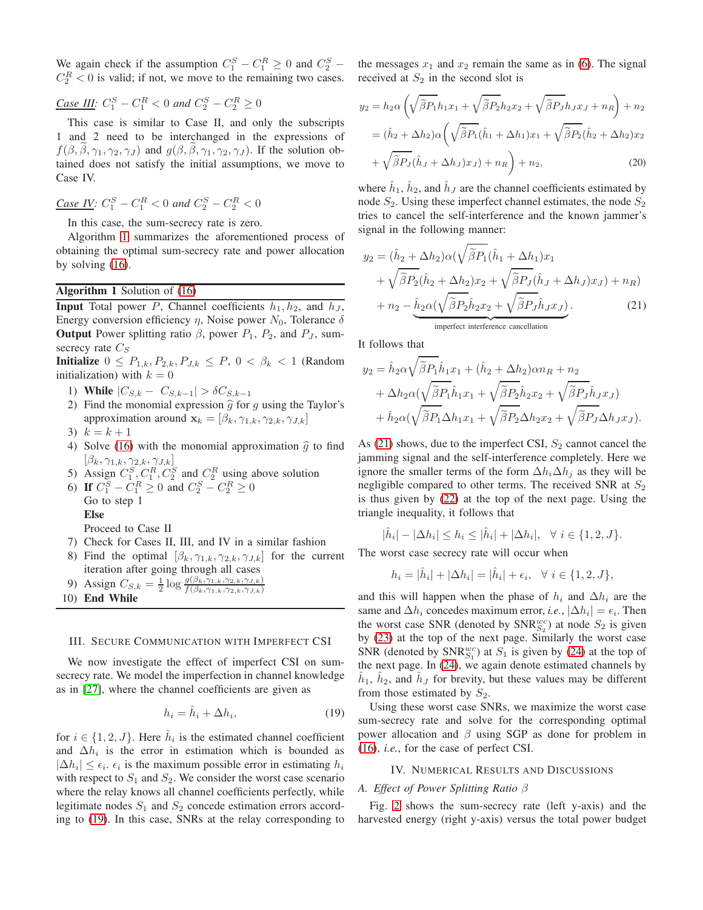We again check if the assumption  $C_1^S - C_1^R \ge 0$  and  $C_2^S$  –  $C_2^R < 0$  is valid; if not, we move to the remaining two cases.

Case III: 
$$
C_1^S - C_1^R < 0
$$
 and  $C_2^S - C_2^R \ge 0$ 

This case is similar to Case II, and only the subscripts 1 and 2 need to be interchanged in the expressions of  $f(\beta, \beta, \gamma_1, \gamma_2, \gamma_J)$  and  $g(\beta, \beta, \gamma_1, \gamma_2, \gamma_J)$ . If the solution obtained does not satisfy the initial assumptions, we move to Case IV.

Case IV: 
$$
C_1^S - C_1^R < 0
$$
 and  $C_2^S - C_2^R < 0$ 

In this case, the sum-secrecy rate is zero.

Algorithm [1](#page-4-1) summarizes the aforementioned process of obtaining the optimal sum-secrecy rate and power allocation by solving [\(16\)](#page-3-1).

# Algorithm 1 Solution of [\(16\)](#page-3-1)

**Input** Total power P, Channel coefficients  $h_1, h_2$ , and  $h_J$ , Energy conversion efficiency  $\eta$ , Noise power  $N_0$ , Tolerance  $\delta$ **Output** Power splitting ratio  $\beta$ , power  $P_1$ ,  $P_2$ , and  $P_J$ , sumsecrecy rate  $C_S$ 

**Initialize**  $0 \leq P_{1,k}, P_{2,k}, P_{J,k} \leq P, 0 < \beta_k < 1$  (Random initialization) with  $k = 0$ 

- 1) While  $|C_{S,k} C_{S,k-1}| > \delta C_{S,k-1}$
- 2) Find the monomial expression  $\hat{g}$  for g using the Taylor's approximation around  $\mathbf{x}_k = [\beta_k, \gamma_{1,k}, \gamma_{2,k}, \gamma_{J,k}]$
- 3)  $k = k + 1$
- 4) Solve [\(16\)](#page-3-1) with the monomial approximation  $\hat{g}$  to find  $[\beta_k, \gamma_{1,k}, \gamma_{2,k}, \gamma_{J,k}]$
- 5) Assign  $C_1^S$ ,  $C_1^R$ ,  $C_2^S$  and  $C_2^R$  using above solution
- 6) If  $C_1^S C_1^R \ge 0$  and  $C_2^S C_2^R \ge 0$ Go to step 1 Else

Proceed to Case II

- 7) Check for Cases II, III, and IV in a similar fashion
- 8) Find the optimal  $[\beta_k, \gamma_{1,k}, \gamma_{2,k}, \gamma_{J,k}]$  for the current iteration after going through all cases
- 9) Assign  $C_{S,k} = \frac{1}{2} \log \frac{g(\beta_k, \tilde{\gamma}_{1,k}, \gamma_{2,k}, \gamma_{J,k})}{f(\beta_k, \gamma_{1,k}, \gamma_{2,k}, \gamma_{J,k})}$
- <span id="page-4-1"></span>10) End While

#### <span id="page-4-0"></span>III. SECURE COMMUNICATION WITH IMPERFECT CSI

We now investigate the effect of imperfect CSI on sumsecrecy rate. We model the imperfection in channel knowledge as in [\[27\]](#page-6-19), where the channel coefficients are given as

<span id="page-4-2"></span>
$$
h_i = \hat{h}_i + \Delta h_i,\tag{19}
$$

for  $i \in \{1, 2, J\}$ . Here  $\hat{h}_i$  is the estimated channel coefficient and  $\Delta h_i$  is the error in estimation which is bounded as  $|\Delta h_i| \leq \epsilon_i$ .  $\epsilon_i$  is the maximum possible error in estimating  $h_i$ with respect to  $S_1$  and  $S_2$ . We consider the worst case scenario where the relay knows all channel coefficients perfectly, while legitimate nodes  $S_1$  and  $S_2$  concede estimation errors according to [\(19\)](#page-4-2). In this case, SNRs at the relay corresponding to the messages  $x_1$  and  $x_2$  remain the same as in [\(6\)](#page-2-6). The signal received at  $S_2$  in the second slot is

$$
y_2 = h_2 \alpha \left( \sqrt{\tilde{\beta} P_1} h_1 x_1 + \sqrt{\tilde{\beta} P_2} h_2 x_2 + \sqrt{\tilde{\beta} P_J} h_J x_J + n_R \right) + n_2
$$
  
=  $(\hat{h}_2 + \Delta h_2) \alpha \left( \sqrt{\tilde{\beta} P_1} (\hat{h}_1 + \Delta h_1) x_1 + \sqrt{\tilde{\beta} P_2} (\hat{h}_2 + \Delta h_2) x_2 + \sqrt{\tilde{\beta} P_J} (\hat{h}_J + \Delta h_J) x_J \right) + n_R$  (20)

where  $\hat{h}_1$ ,  $\hat{h}_2$ , and  $\hat{h}_J$  are the channel coefficients estimated by node  $S_2$ . Using these imperfect channel estimates, the node  $S_2$ tries to cancel the self-interference and the known jammer's signal in the following manner:

$$
y_2 = (\hat{h}_2 + \Delta h_2)\alpha(\sqrt{\tilde{\beta}P_1}(\hat{h}_1 + \Delta h_1)x_1 + \sqrt{\tilde{\beta}P_2}(\hat{h}_2 + \Delta h_2)x_2 + \sqrt{\tilde{\beta}P_J}(\hat{h}_J + \Delta h_J)x_J) + n_R) + n_2 - \underbrace{\hat{h}_2\alpha(\sqrt{\tilde{\beta}P_2}\hat{h}_2x_2 + \sqrt{\tilde{\beta}P_J}\hat{h}_Jx_J)}_{\text{imperfect interference cancellation}}.
$$
 (21)

It follows that

<span id="page-4-3"></span>
$$
y_2 = \hat{h}_2 \alpha \sqrt{\tilde{\beta} P_1} \hat{h}_1 x_1 + (\hat{h}_2 + \Delta h_2) \alpha n_R + n_2
$$
  
+  $\Delta h_2 \alpha (\sqrt{\tilde{\beta} P_1} \hat{h}_1 x_1 + \sqrt{\tilde{\beta} P_2} \hat{h}_2 x_2 + \sqrt{\tilde{\beta} P_J} \hat{h}_J x_J)$   
+  $\hat{h}_2 \alpha (\sqrt{\tilde{\beta} P_1} \Delta h_1 x_1 + \sqrt{\tilde{\beta} P_2} \Delta h_2 x_2 + \sqrt{\tilde{\beta} P_J} \Delta h_J x_J).$ 

As [\(21\)](#page-4-3) shows, due to the imperfect CSI,  $S_2$  cannot cancel the jamming signal and the self-interference completely. Here we ignore the smaller terms of the form  $\Delta h_i \Delta h_j$  as they will be negligible compared to other terms. The received SNR at  $S_2$ is thus given by [\(22\)](#page-5-0) at the top of the next page. Using the triangle inequality, it follows that

$$
|\hat{h}_i| - |\Delta h_i| \le h_i \le |\hat{h}_i| + |\Delta h_i|, \quad \forall \ i \in \{1, 2, J\}.
$$

The worst case secrecy rate will occur when

$$
h_i = |\hat{h}_i| + |\Delta h_i| = |\hat{h}_i| + \epsilon_i, \quad \forall \ i \in \{1, 2, J\},
$$

and this will happen when the phase of  $h_i$  and  $\Delta h_i$  are the same and  $\Delta h_i$  concedes maximum error, *i.e.*,  $|\Delta h_i| = \epsilon_i$ . Then the worst case SNR (denoted by  $\text{SNR}_{S_2}^{wc}$ ) at node  $S_2$  is given by [\(23\)](#page-5-1) at the top of the next page. Similarly the worst case SNR (denoted by  $\text{SNR}_{S_1}^{wc}$ ) at  $S_1$  is given by [\(24\)](#page-5-2) at the top of the next page. In [\(24\)](#page-5-2), we again denote estimated channels by  $\hat{h}_1$ ,  $\hat{h}_2$ , and  $\hat{h}_J$  for brevity, but these values may be different from those estimated by  $S_2$ .

Using these worst case SNRs, we maximize the worst case sum-secrecy rate and solve for the corresponding optimal power allocation and  $\beta$  using SGP as done for problem in [\(16\)](#page-3-1), *i.e.*, for the case of perfect CSI.

#### IV. NUMERICAL RESULTS AND DISCUSSIONS

## *A. Effect of Power Splitting Ratio* β

Fig. [2](#page-5-3) shows the sum-secrecy rate (left y-axis) and the harvested energy (right y-axis) versus the total power budget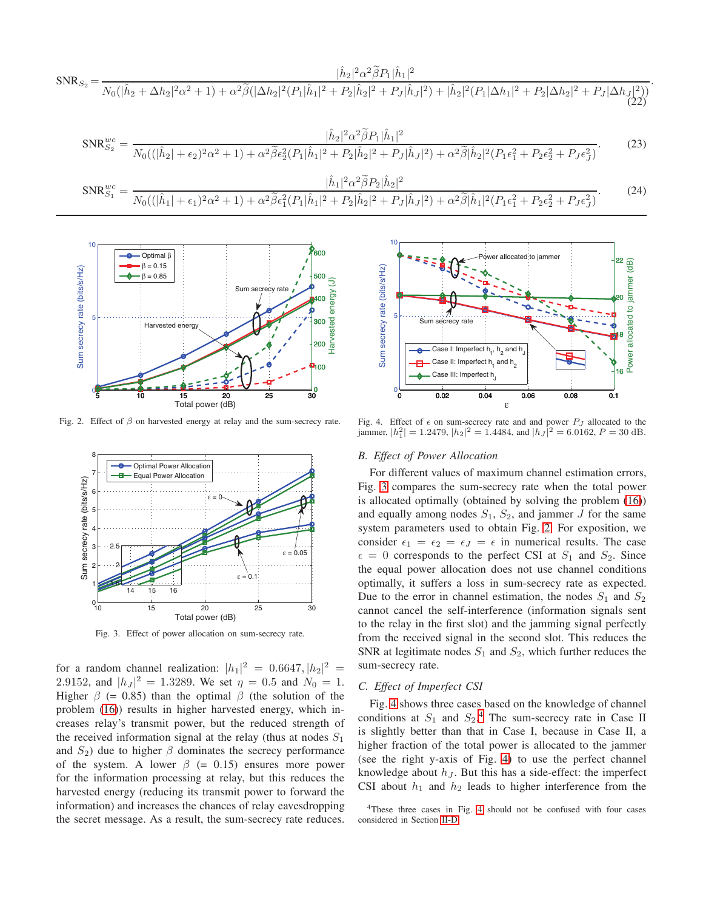<span id="page-5-0"></span>
$$
SNR_{S_2} = \frac{|\hat{h}_2|^2 \alpha^2 \tilde{\beta} P_1 |\hat{h}_1|^2}{N_0(|\hat{h}_2 + \Delta h_2|^2 \alpha^2 + 1) + \alpha^2 \tilde{\beta}(|\Delta h_2|^2 (P_1 |\hat{h}_1|^2 + P_2 |\hat{h}_2|^2 + P_J |\hat{h}_J|^2) + |\hat{h}_2|^2 (P_1 |\Delta h_1|^2 + P_2 |\Delta h_2|^2 + P_J |\Delta h_J|^2))}
$$
(22)

<span id="page-5-2"></span><span id="page-5-1"></span>
$$
SNR_{S_2}^{wc} = \frac{|\hat{h}_2|^2 \alpha^2 \tilde{\beta} P_1 |\hat{h}_1|^2}{N_0((|\hat{h}_2| + \epsilon_2)^2 \alpha^2 + 1) + \alpha^2 \tilde{\beta} \epsilon_2^2 (P_1 |\hat{h}_1|^2 + P_2 |\hat{h}_2|^2 + P_J |\hat{h}_J|^2) + \alpha^2 \tilde{\beta} |\hat{h}_2|^2 (P_1 \epsilon_1^2 + P_2 \epsilon_2^2 + P_J \epsilon_J^2)}.
$$
\n
$$
SNR_{S_1}^{wc} = \frac{|\hat{h}_1|^2 \alpha^2 \tilde{\beta} P_2 |\hat{h}_2|^2}{N_0((|\hat{h}_1| + \epsilon_1)^2 \alpha^2 + 1) + \alpha^2 \tilde{\beta} \epsilon_1^2 (P_1 |\hat{h}_1|^2 + P_2 |\hat{h}_2|^2 + P_J |\hat{h}_J|^2) + \alpha^2 \tilde{\beta} |\hat{h}_1|^2 (P_1 \epsilon_1^2 + P_2 \epsilon_2^2 + P_J \epsilon_J^2)}.
$$
\n
$$
(24)
$$



Fig. 2. Effect of  $\beta$  on harvested energy at relay and the sum-secrecy rate.

<span id="page-5-3"></span>

<span id="page-5-4"></span>Fig. 3. Effect of power allocation on sum-secrecy rate.

for a random channel realization:  $|h_1|^2 = 0.6647, |h_2|^2 = 1$ 2.9152, and  $|h_J|^2 = 1.3289$ . We set  $\eta = 0.5$  and  $N_0 = 1$ . Higher  $\beta$  (= 0.85) than the optimal  $\beta$  (the solution of the problem [\(16\)](#page-3-1)) results in higher harvested energy, which increases relay's transmit power, but the reduced strength of the received information signal at the relay (thus at nodes  $S_1$ ) and  $S_2$ ) due to higher  $\beta$  dominates the secrecy performance of the system. A lower  $\beta$  (= 0.15) ensures more power for the information processing at relay, but this reduces the harvested energy (reducing its transmit power to forward the information) and increases the chances of relay eavesdropping the secret message. As a result, the sum-secrecy rate reduces.



.

<span id="page-5-5"></span>Fig. 4. Effect of  $\epsilon$  on sum-secrecy rate and and power  $P_J$  allocated to the jammer,  $|h_1^2| = 1.2479$ ,  $|h_2|^2 = 1.4484$ , and  $|h_J|^2 = 6.0162$ ,  $P = 30$  dB.

#### *B. Effect of Power Allocation*

For different values of maximum channel estimation errors, Fig. [3](#page-5-4) compares the sum-secrecy rate when the total power is allocated optimally (obtained by solving the problem [\(16\)](#page-3-1)) and equally among nodes  $S_1$ ,  $S_2$ , and jammer J for the same system parameters used to obtain Fig. [2.](#page-5-3) For exposition, we consider  $\epsilon_1 = \epsilon_2 = \epsilon_J = \epsilon$  in numerical results. The case  $\epsilon = 0$  corresponds to the perfect CSI at  $S_1$  and  $S_2$ . Since the equal power allocation does not use channel conditions optimally, it suffers a loss in sum-secrecy rate as expected. Due to the error in channel estimation, the nodes  $S_1$  and  $S_2$ cannot cancel the self-interference (information signals sent to the relay in the first slot) and the jamming signal perfectly from the received signal in the second slot. This reduces the SNR at legitimate nodes  $S_1$  and  $S_2$ , which further reduces the sum-secrecy rate.

# *C. Effect of Imperfect CSI*

Fig. [4](#page-5-5) shows three cases based on the knowledge of channel conditions at  $S_1$  and  $S_2$ .<sup>[4](#page-5-6)</sup> The sum-secrecy rate in Case II is slightly better than that in Case I, because in Case II, a higher fraction of the total power is allocated to the jammer (see the right y-axis of Fig. [4\)](#page-5-5) to use the perfect channel knowledge about  $h_J$ . But this has a side-effect: the imperfect CSI about  $h_1$  and  $h_2$  leads to higher interference from the

<span id="page-5-6"></span><sup>&</sup>lt;sup>4</sup>These three cases in Fig. [4](#page-5-5) should not be confused with four cases considered in Section [II-D.](#page-2-7)